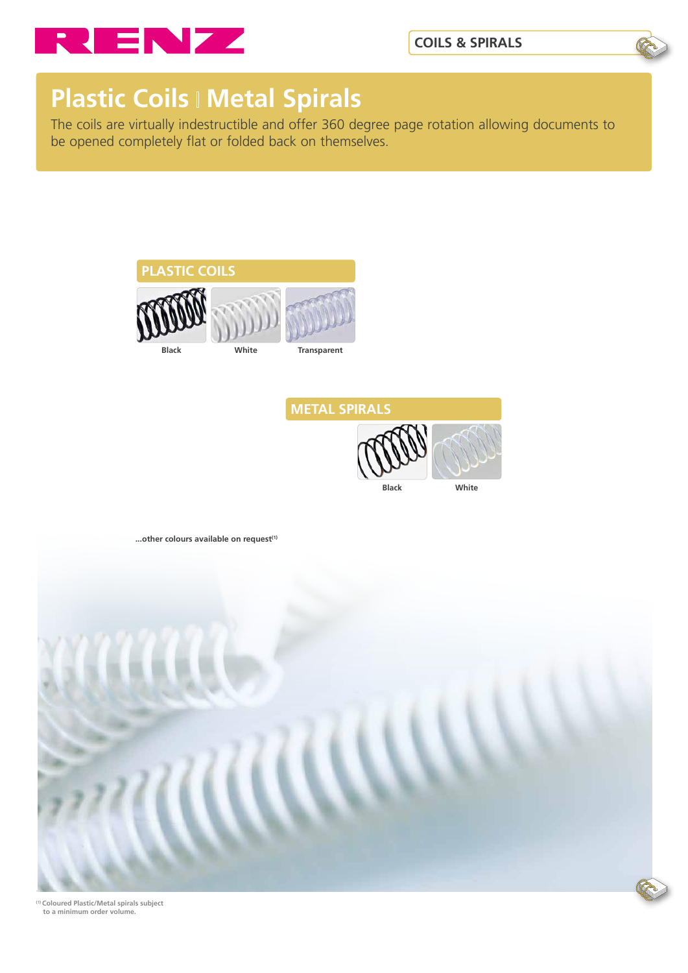



## **Plastic Coils | Metal Spirals**

The coils are virtually indestructible and offer 360 degree page rotation allowing documents to be opened completely flat or folded back on themselves.







**(1) Coloured Plastic/Metal spirals subject to a minimum order volume.**